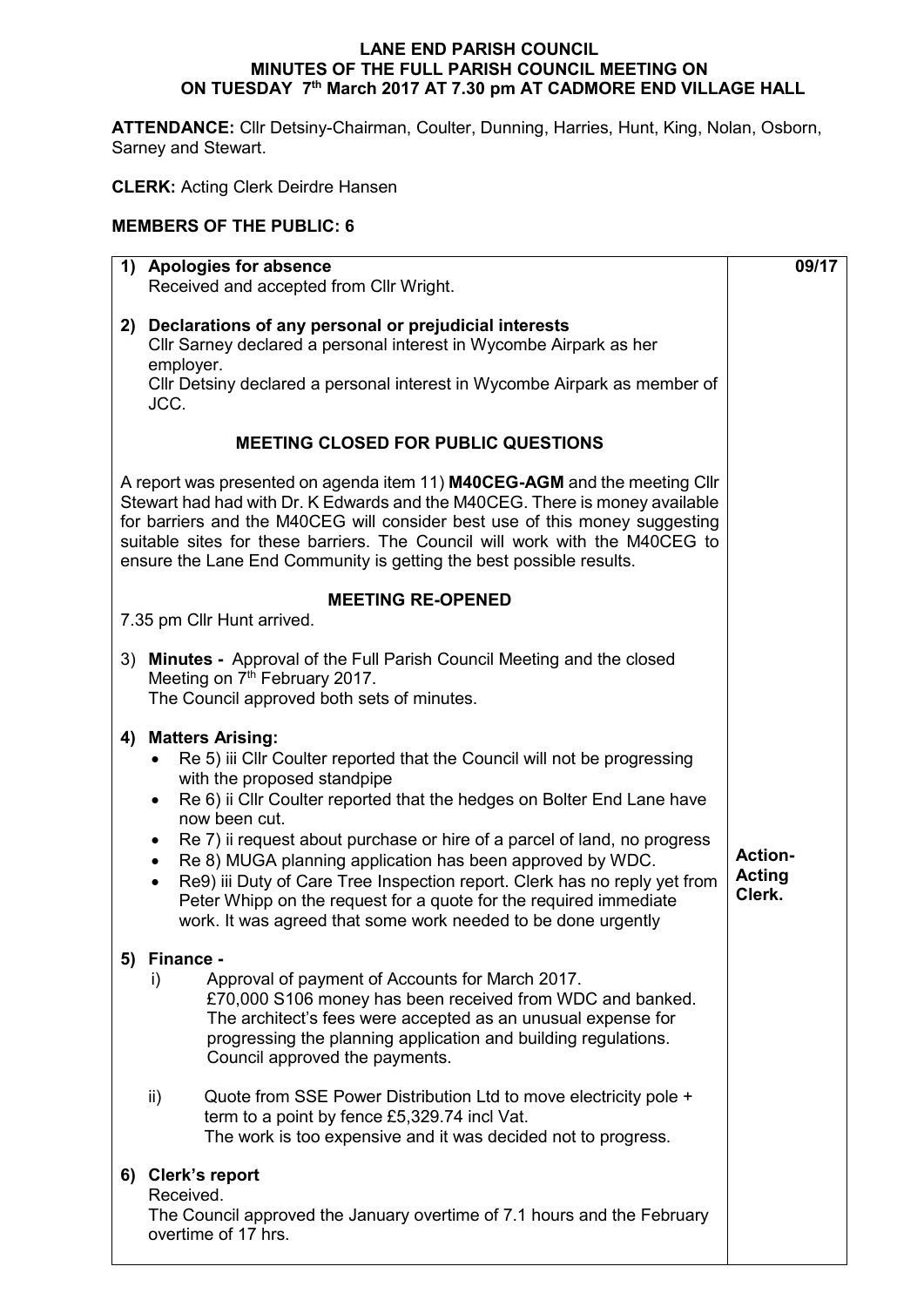### **LANE END PARISH COUNCIL MINUTES OF THE FULL PARISH COUNCIL MEETING ON ON TUESDAY 7 th March 2017 AT 7.30 pm AT CADMORE END VILLAGE HALL**

**ATTENDANCE:** Cllr Detsiny-Chairman, Coulter, Dunning, Harries, Hunt, King, Nolan, Osborn, Sarney and Stewart.

**CLERK:** Acting Clerk Deirdre Hansen

## **MEMBERS OF THE PUBLIC: 6**

| 1) Apologies for absence                                                                                                                                                                                                                                                                                                                                                                                                                                                                                                                                                                                                          | 09/17                                     |
|-----------------------------------------------------------------------------------------------------------------------------------------------------------------------------------------------------------------------------------------------------------------------------------------------------------------------------------------------------------------------------------------------------------------------------------------------------------------------------------------------------------------------------------------------------------------------------------------------------------------------------------|-------------------------------------------|
| Received and accepted from Cllr Wright.                                                                                                                                                                                                                                                                                                                                                                                                                                                                                                                                                                                           |                                           |
| 2) Declarations of any personal or prejudicial interests<br>Cllr Sarney declared a personal interest in Wycombe Airpark as her<br>employer.<br>Cllr Detsiny declared a personal interest in Wycombe Airpark as member of<br>JCC.                                                                                                                                                                                                                                                                                                                                                                                                  |                                           |
| <b>MEETING CLOSED FOR PUBLIC QUESTIONS</b>                                                                                                                                                                                                                                                                                                                                                                                                                                                                                                                                                                                        |                                           |
| A report was presented on agenda item 11) M40CEG-AGM and the meeting Cllr<br>Stewart had had with Dr. K Edwards and the M40CEG. There is money available<br>for barriers and the M40CEG will consider best use of this money suggesting<br>suitable sites for these barriers. The Council will work with the M40CEG to<br>ensure the Lane End Community is getting the best possible results.                                                                                                                                                                                                                                     |                                           |
| <b>MEETING RE-OPENED</b>                                                                                                                                                                                                                                                                                                                                                                                                                                                                                                                                                                                                          |                                           |
| 7.35 pm Cllr Hunt arrived.                                                                                                                                                                                                                                                                                                                                                                                                                                                                                                                                                                                                        |                                           |
| 3) Minutes - Approval of the Full Parish Council Meeting and the closed<br>Meeting on 7 <sup>th</sup> February 2017.<br>The Council approved both sets of minutes.                                                                                                                                                                                                                                                                                                                                                                                                                                                                |                                           |
| 4) Matters Arising:<br>Re 5) iii Cllr Coulter reported that the Council will not be progressing<br>with the proposed standpipe<br>Re 6) ii Cllr Coulter reported that the hedges on Bolter End Lane have<br>$\bullet$<br>now been cut.<br>Re 7) ii request about purchase or hire of a parcel of land, no progress<br>٠<br>Re 8) MUGA planning application has been approved by WDC.<br>$\bullet$<br>Re9) iii Duty of Care Tree Inspection report. Clerk has no reply yet from<br>$\bullet$<br>Peter Whipp on the request for a quote for the required immediate<br>work. It was agreed that some work needed to be done urgently | <b>Action-</b><br><b>Acting</b><br>Clerk. |
| 5) Finance -<br>Approval of payment of Accounts for March 2017.<br>i)<br>£70,000 S106 money has been received from WDC and banked.<br>The architect's fees were accepted as an unusual expense for<br>progressing the planning application and building regulations.<br>Council approved the payments.<br>Quote from SSE Power Distribution Ltd to move electricity pole +<br>ii)<br>term to a point by fence £5,329.74 incl Vat.<br>The work is too expensive and it was decided not to progress.                                                                                                                                |                                           |
| 6) Clerk's report<br>Received.<br>The Council approved the January overtime of 7.1 hours and the February<br>overtime of 17 hrs.                                                                                                                                                                                                                                                                                                                                                                                                                                                                                                  |                                           |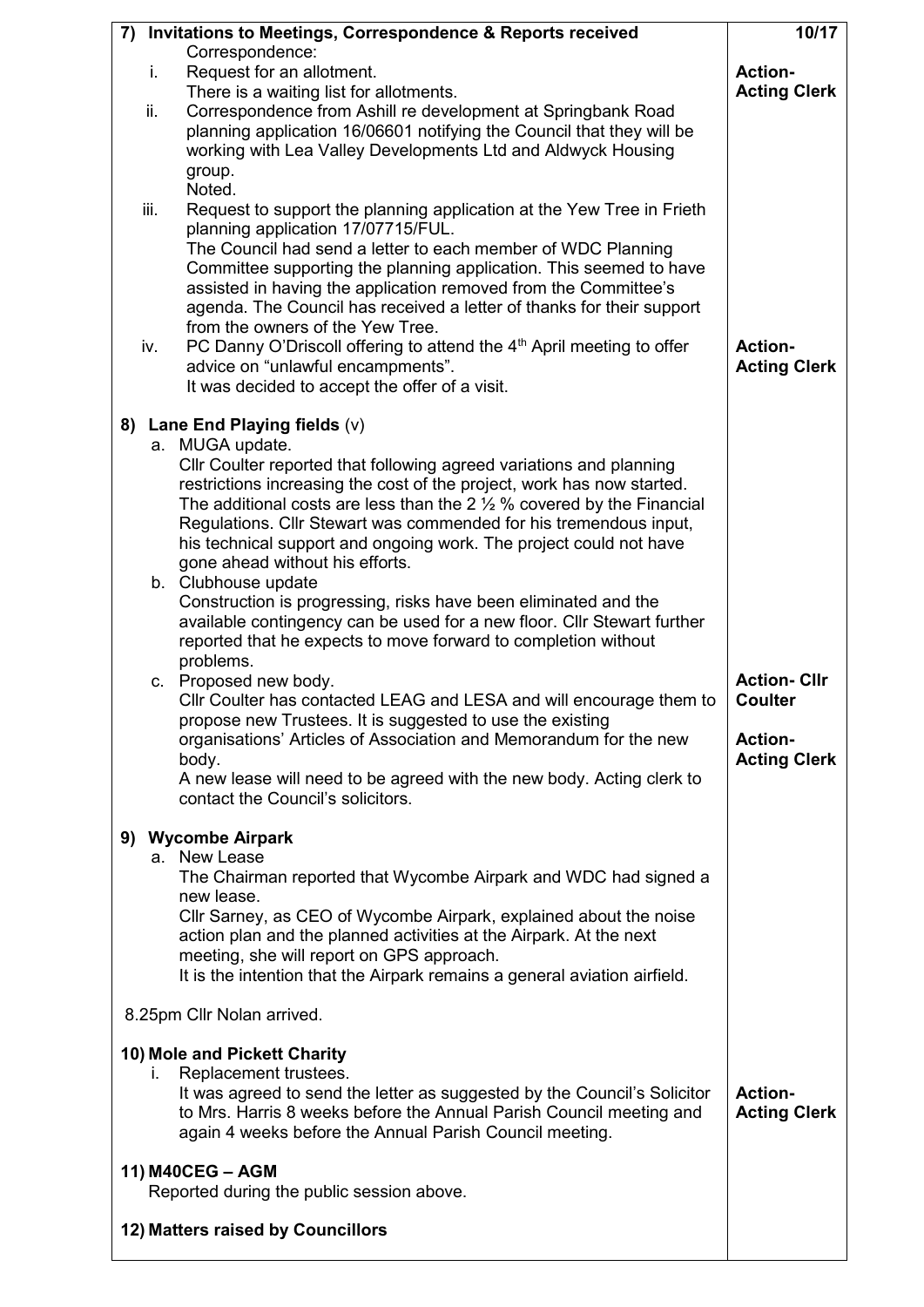| Invitations to Meetings, Correspondence & Reports received<br>7)                                                                                                                                                                                                                                                                                                                                                                        | 10/17                                 |
|-----------------------------------------------------------------------------------------------------------------------------------------------------------------------------------------------------------------------------------------------------------------------------------------------------------------------------------------------------------------------------------------------------------------------------------------|---------------------------------------|
| Correspondence:                                                                                                                                                                                                                                                                                                                                                                                                                         |                                       |
| i.<br>Request for an allotment.                                                                                                                                                                                                                                                                                                                                                                                                         | <b>Action-</b>                        |
| There is a waiting list for allotments.<br>Correspondence from Ashill re development at Springbank Road<br>ii.                                                                                                                                                                                                                                                                                                                          | <b>Acting Clerk</b>                   |
| planning application 16/06601 notifying the Council that they will be<br>working with Lea Valley Developments Ltd and Aldwyck Housing<br>group.<br>Noted.                                                                                                                                                                                                                                                                               |                                       |
| iii.<br>Request to support the planning application at the Yew Tree in Frieth<br>planning application 17/07715/FUL.                                                                                                                                                                                                                                                                                                                     |                                       |
| The Council had send a letter to each member of WDC Planning<br>Committee supporting the planning application. This seemed to have<br>assisted in having the application removed from the Committee's<br>agenda. The Council has received a letter of thanks for their support<br>from the owners of the Yew Tree.<br>PC Danny O'Driscoll offering to attend the 4 <sup>th</sup> April meeting to offer<br>iv.                          | <b>Action-</b>                        |
| advice on "unlawful encampments".<br>It was decided to accept the offer of a visit.                                                                                                                                                                                                                                                                                                                                                     | <b>Acting Clerk</b>                   |
| Lane End Playing fields (v)<br>8)                                                                                                                                                                                                                                                                                                                                                                                                       |                                       |
| a. MUGA update.                                                                                                                                                                                                                                                                                                                                                                                                                         |                                       |
| Cllr Coulter reported that following agreed variations and planning<br>restrictions increasing the cost of the project, work has now started.<br>The additional costs are less than the 2 $\frac{1}{2}$ % covered by the Financial<br>Regulations. Cllr Stewart was commended for his tremendous input,<br>his technical support and ongoing work. The project could not have<br>gone ahead without his efforts.<br>b. Clubhouse update |                                       |
| Construction is progressing, risks have been eliminated and the<br>available contingency can be used for a new floor. Cllr Stewart further<br>reported that he expects to move forward to completion without<br>problems.                                                                                                                                                                                                               |                                       |
| c. Proposed new body.                                                                                                                                                                                                                                                                                                                                                                                                                   | <b>Action-Cllr</b>                    |
| CIIr Coulter has contacted LEAG and LESA and will encourage them to<br>propose new Trustees. It is suggested to use the existing<br>organisations' Articles of Association and Memorandum for the new                                                                                                                                                                                                                                   | <b>Coulter</b><br><b>Action-</b>      |
| body.<br>A new lease will need to be agreed with the new body. Acting clerk to<br>contact the Council's solicitors.                                                                                                                                                                                                                                                                                                                     | <b>Acting Clerk</b>                   |
| 9) Wycombe Airpark                                                                                                                                                                                                                                                                                                                                                                                                                      |                                       |
| a. New Lease<br>The Chairman reported that Wycombe Airpark and WDC had signed a<br>new lease.                                                                                                                                                                                                                                                                                                                                           |                                       |
| Cllr Sarney, as CEO of Wycombe Airpark, explained about the noise<br>action plan and the planned activities at the Airpark. At the next                                                                                                                                                                                                                                                                                                 |                                       |
| meeting, she will report on GPS approach.<br>It is the intention that the Airpark remains a general aviation airfield.                                                                                                                                                                                                                                                                                                                  |                                       |
| 8.25pm Cllr Nolan arrived.                                                                                                                                                                                                                                                                                                                                                                                                              |                                       |
| 10) Mole and Pickett Charity                                                                                                                                                                                                                                                                                                                                                                                                            |                                       |
| Replacement trustees.<br>Τ.<br>It was agreed to send the letter as suggested by the Council's Solicitor<br>to Mrs. Harris 8 weeks before the Annual Parish Council meeting and<br>again 4 weeks before the Annual Parish Council meeting.                                                                                                                                                                                               | <b>Action-</b><br><b>Acting Clerk</b> |
| 11) M40CEG - AGM<br>Reported during the public session above.                                                                                                                                                                                                                                                                                                                                                                           |                                       |
| 12) Matters raised by Councillors                                                                                                                                                                                                                                                                                                                                                                                                       |                                       |
|                                                                                                                                                                                                                                                                                                                                                                                                                                         |                                       |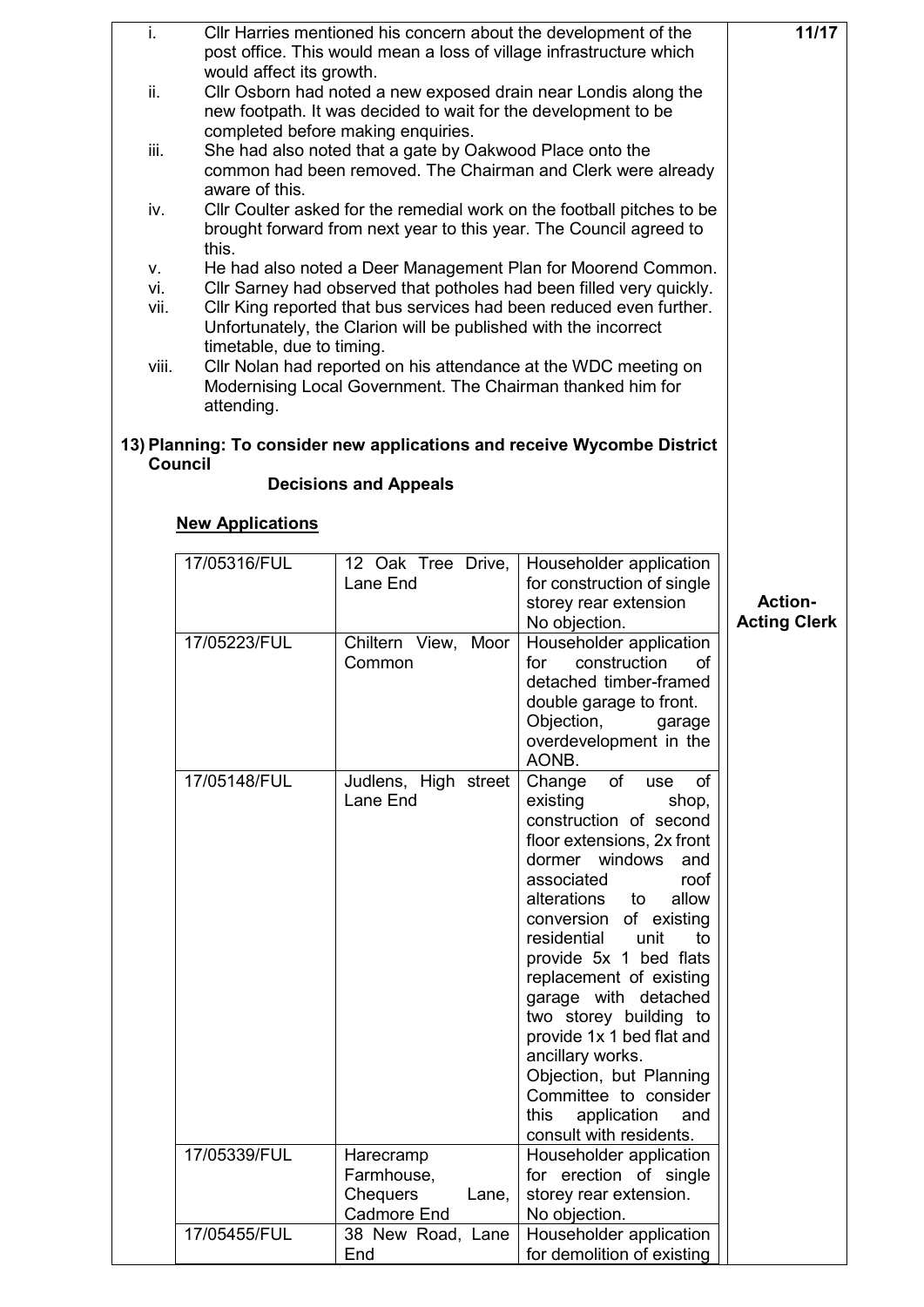| i.    |                           |                                                          | CIIr Harries mentioned his concern about the development of the         | 11/17               |
|-------|---------------------------|----------------------------------------------------------|-------------------------------------------------------------------------|---------------------|
|       |                           |                                                          | post office. This would mean a loss of village infrastructure which     |                     |
|       | would affect its growth.  |                                                          |                                                                         |                     |
| ii.   |                           |                                                          | Cllr Osborn had noted a new exposed drain near Londis along the         |                     |
|       |                           |                                                          | new footpath. It was decided to wait for the development to be          |                     |
|       |                           | completed before making enquiries.                       |                                                                         |                     |
| iii.  |                           | She had also noted that a gate by Oakwood Place onto the |                                                                         |                     |
|       |                           |                                                          | common had been removed. The Chairman and Clerk were already            |                     |
|       | aware of this.            |                                                          |                                                                         |                     |
| iv.   |                           |                                                          | CIIr Coulter asked for the remedial work on the football pitches to be  |                     |
|       |                           |                                                          | brought forward from next year to this year. The Council agreed to      |                     |
|       | this.                     |                                                          |                                                                         |                     |
| V.    |                           |                                                          | He had also noted a Deer Management Plan for Moorend Common.            |                     |
| vi.   |                           |                                                          | CIIr Sarney had observed that potholes had been filled very quickly.    |                     |
| vii.  |                           |                                                          | Cllr King reported that bus services had been reduced even further.     |                     |
|       |                           |                                                          | Unfortunately, the Clarion will be published with the incorrect         |                     |
|       | timetable, due to timing. |                                                          |                                                                         |                     |
| viii. |                           |                                                          | Cllr Nolan had reported on his attendance at the WDC meeting on         |                     |
|       |                           |                                                          | Modernising Local Government. The Chairman thanked him for              |                     |
|       | attending.                |                                                          |                                                                         |                     |
|       |                           |                                                          |                                                                         |                     |
|       |                           |                                                          | 13) Planning: To consider new applications and receive Wycombe District |                     |
|       | <b>Council</b>            |                                                          |                                                                         |                     |
|       |                           | <b>Decisions and Appeals</b>                             |                                                                         |                     |
|       |                           |                                                          |                                                                         |                     |
|       | <b>New Applications</b>   |                                                          |                                                                         |                     |
|       |                           |                                                          |                                                                         |                     |
|       | 17/05316/FUL              | 12 Oak Tree Drive,                                       | Householder application                                                 |                     |
|       |                           | Lane End                                                 | for construction of single                                              |                     |
|       |                           |                                                          | storey rear extension                                                   | <b>Action-</b>      |
|       |                           |                                                          | No objection.                                                           | <b>Acting Clerk</b> |
|       | 17/05223/FUL              | Chiltern View, Moor                                      | Householder application                                                 |                     |
|       |                           | Common                                                   | construction<br><b>of</b><br>for                                        |                     |
|       |                           |                                                          | detached timber-framed                                                  |                     |
|       |                           |                                                          | double garage to front.                                                 |                     |
|       |                           |                                                          | Objection,<br>garage                                                    |                     |
|       |                           |                                                          | overdevelopment in the                                                  |                     |
|       |                           |                                                          | AONB.                                                                   |                     |
|       | 17/05148/FUL              | Judlens, High street                                     | of<br>of<br>Change<br>use                                               |                     |
|       |                           | Lane End                                                 | existing<br>shop,                                                       |                     |
|       |                           |                                                          | construction of second                                                  |                     |
|       |                           |                                                          | floor extensions, 2x front                                              |                     |
|       |                           |                                                          | dormer windows<br>and                                                   |                     |
|       |                           |                                                          | associated<br>roof                                                      |                     |
|       |                           |                                                          | alterations<br>allow<br>to                                              |                     |
|       |                           |                                                          | conversion of existing                                                  |                     |
|       |                           |                                                          | unit<br>residential<br>to                                               |                     |
|       |                           |                                                          | provide 5x 1 bed flats                                                  |                     |
|       |                           |                                                          | replacement of existing                                                 |                     |
|       |                           |                                                          | garage with detached                                                    |                     |
|       |                           |                                                          | two storey building to                                                  |                     |
|       |                           |                                                          | provide 1x 1 bed flat and                                               |                     |
|       |                           |                                                          | ancillary works.                                                        |                     |
|       |                           |                                                          | Objection, but Planning                                                 |                     |
|       |                           |                                                          | Committee to consider                                                   |                     |
|       |                           |                                                          | this<br>application<br>and                                              |                     |
|       |                           |                                                          | consult with residents.                                                 |                     |
|       | 17/05339/FUL              | Harecramp                                                | Householder application                                                 |                     |
|       |                           | Farmhouse,                                               | for erection of single                                                  |                     |
|       |                           | <b>Chequers</b><br>Lane,                                 | storey rear extension.                                                  |                     |
|       |                           | Cadmore End                                              | No objection.                                                           |                     |
|       | 17/05455/FUL              | 38 New Road, Lane                                        | Householder application                                                 |                     |
|       |                           | End                                                      | for demolition of existing                                              |                     |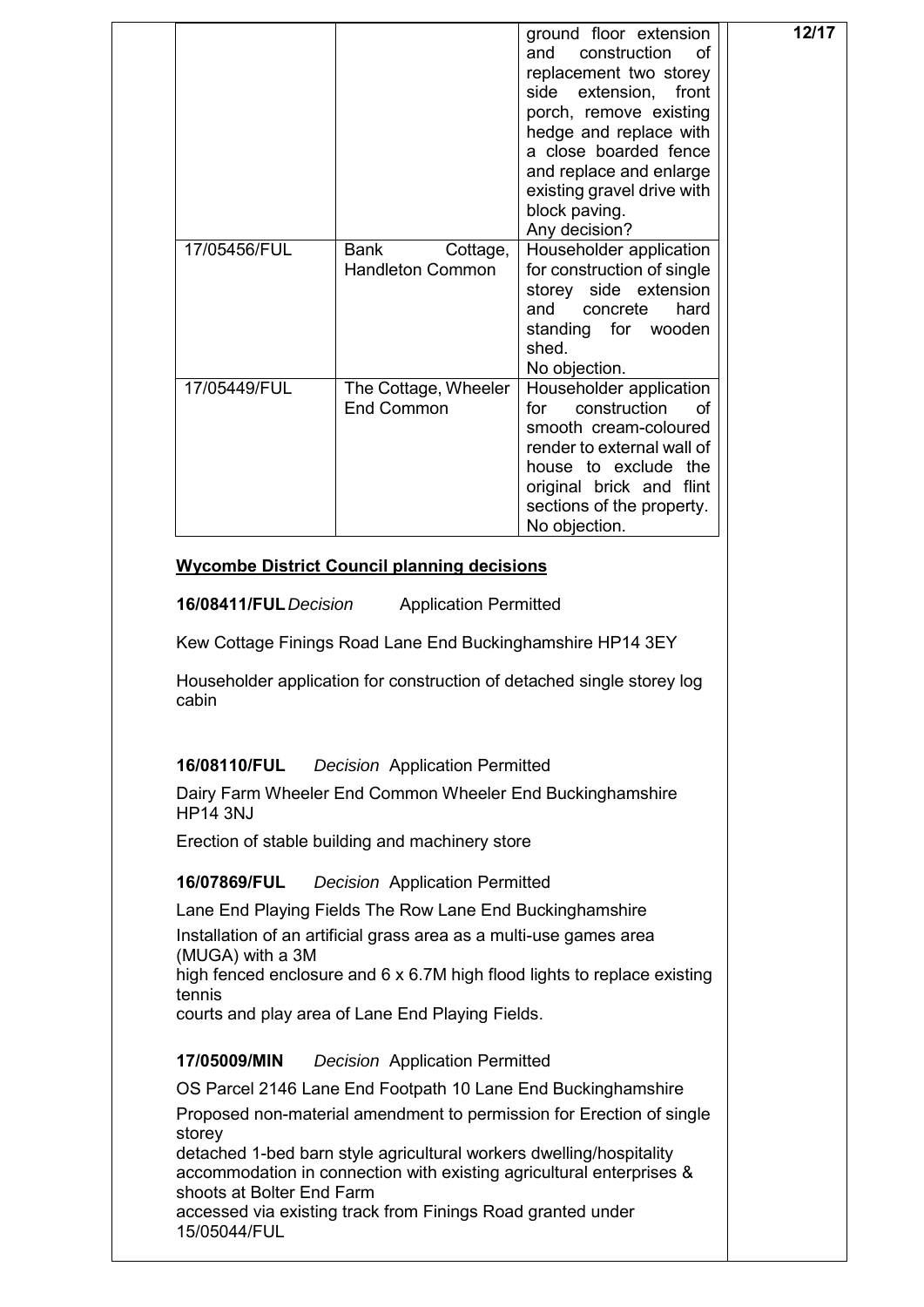|                       |                                                            | ground floor extension<br>construction<br>and<br>οf<br>replacement two storey<br>extension,<br>side<br>front<br>porch, remove existing<br>hedge and replace with<br>a close boarded fence<br>and replace and enlarge<br>existing gravel drive with<br>block paving.<br>Any decision? | 12/17 |
|-----------------------|------------------------------------------------------------|--------------------------------------------------------------------------------------------------------------------------------------------------------------------------------------------------------------------------------------------------------------------------------------|-------|
| 17/05456/FUL          | <b>Bank</b><br>Cottage,<br><b>Handleton Common</b>         | Householder application<br>for construction of single<br>storey side extension<br>hard<br>and<br>concrete<br>standing for wooden<br>shed.<br>No objection.                                                                                                                           |       |
| 17/05449/FUL          | The Cottage, Wheeler<br>End Common                         | Householder application<br>construction<br>of<br>for<br>smooth cream-coloured<br>render to external wall of<br>house to exclude the<br>original brick and flint<br>sections of the property.<br>No objection.                                                                        |       |
|                       | <b>Wycombe District Council planning decisions</b>         |                                                                                                                                                                                                                                                                                      |       |
| 16/08411/FUL Decision | <b>Application Permitted</b>                               |                                                                                                                                                                                                                                                                                      |       |
|                       | Kew Cottage Finings Road Lane End Buckinghamshire HP14 3EY |                                                                                                                                                                                                                                                                                      |       |

Householder application for construction of detached single storey log cabin

## **16/08110/FUL** *Decision* Application Permitted

Dairy Farm Wheeler End Common Wheeler End Buckinghamshire HP14 3NJ

Erection of stable building and machinery store

# **16/07869/FUL** *Decision* Application Permitted

Lane End Playing Fields The Row Lane End Buckinghamshire

Installation of an artificial grass area as a multi-use games area (MUGA) with a 3M

high fenced enclosure and 6 x 6.7M high flood lights to replace existing tennis

courts and play area of Lane End Playing Fields.

## **17/05009/MIN** *Decision* Application Permitted

OS Parcel 2146 Lane End Footpath 10 Lane End Buckinghamshire

Proposed non-material amendment to permission for Erection of single storey

detached 1-bed barn style agricultural workers dwelling/hospitality accommodation in connection with existing agricultural enterprises & shoots at Bolter End Farm

accessed via existing track from Finings Road granted under 15/05044/FUL